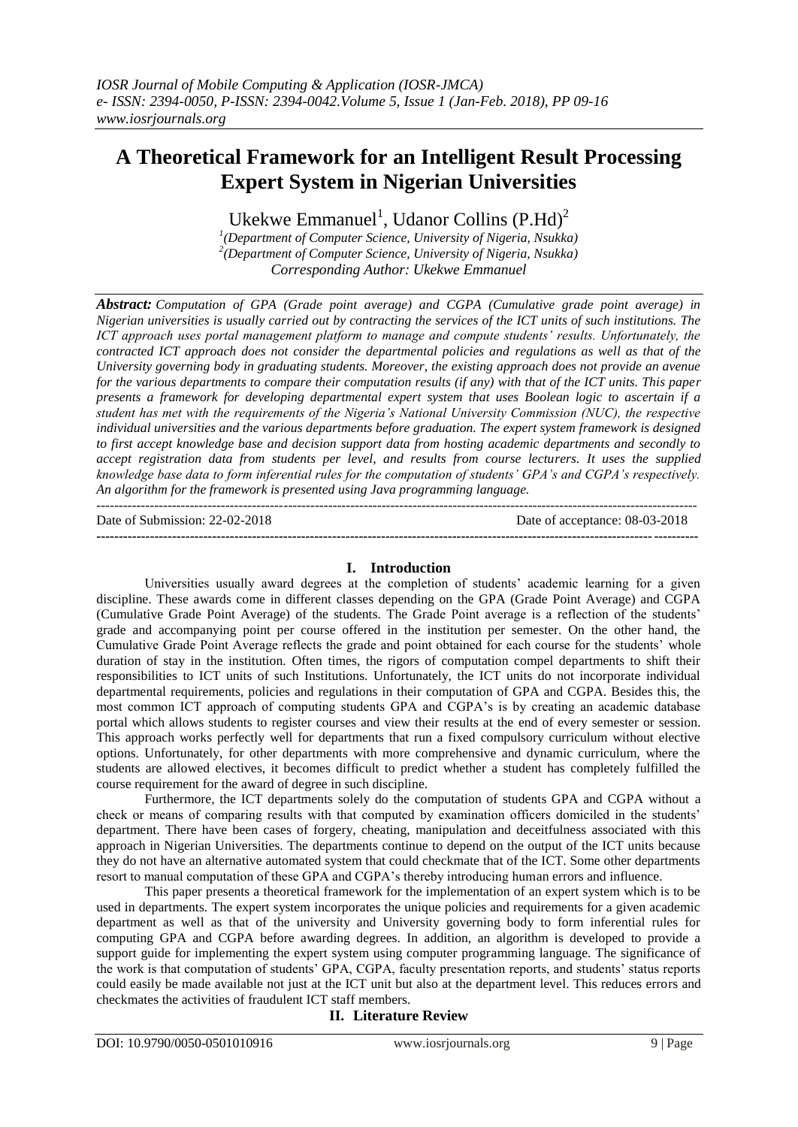# **A Theoretical Framework for an Intelligent Result Processing Expert System in Nigerian Universities**

Ukekwe Emmanuel<sup>1</sup>, Udanor Collins (P.Hd)<sup>2</sup>

*1 (Department of Computer Science, University of Nigeria, Nsukka) 2 (Department of Computer Science, University of Nigeria, Nsukka) Corresponding Author: Ukekwe Emmanuel*

*Abstract: Computation of GPA (Grade point average) and CGPA (Cumulative grade point average) in Nigerian universities is usually carried out by contracting the services of the ICT units of such institutions. The ICT approach uses portal management platform to manage and compute students' results. Unfortunately, the contracted ICT approach does not consider the departmental policies and regulations as well as that of the University governing body in graduating students. Moreover, the existing approach does not provide an avenue for the various departments to compare their computation results (if any) with that of the ICT units. This paper presents a framework for developing departmental expert system that uses Boolean logic to ascertain if a student has met with the requirements of the Nigeria's National University Commission (NUC), the respective individual universities and the various departments before graduation. The expert system framework is designed to first accept knowledge base and decision support data from hosting academic departments and secondly to accept registration data from students per level, and results from course lecturers. It uses the supplied knowledge base data to form inferential rules for the computation of students' GPA's and CGPA's respectively. An algorithm for the framework is presented using Java programming language.*

Date of Submission: 22-02-2018 Date of acceptance: 08-03-2018

**---------------------------------------------------------------------------------------------------------------------------------------**

#### **I. Introduction**

---------------------------------------------------------------------------------------------------------------------------------------

Universities usually award degrees at the completion of students" academic learning for a given discipline. These awards come in different classes depending on the GPA (Grade Point Average) and CGPA (Cumulative Grade Point Average) of the students. The Grade Point average is a reflection of the students" grade and accompanying point per course offered in the institution per semester. On the other hand, the Cumulative Grade Point Average reflects the grade and point obtained for each course for the students" whole duration of stay in the institution. Often times, the rigors of computation compel departments to shift their responsibilities to ICT units of such Institutions. Unfortunately, the ICT units do not incorporate individual departmental requirements, policies and regulations in their computation of GPA and CGPA. Besides this, the most common ICT approach of computing students GPA and CGPA"s is by creating an academic database portal which allows students to register courses and view their results at the end of every semester or session. This approach works perfectly well for departments that run a fixed compulsory curriculum without elective options. Unfortunately, for other departments with more comprehensive and dynamic curriculum, where the students are allowed electives, it becomes difficult to predict whether a student has completely fulfilled the course requirement for the award of degree in such discipline.

Furthermore, the ICT departments solely do the computation of students GPA and CGPA without a check or means of comparing results with that computed by examination officers domiciled in the students" department. There have been cases of forgery, cheating, manipulation and deceitfulness associated with this approach in Nigerian Universities. The departments continue to depend on the output of the ICT units because they do not have an alternative automated system that could checkmate that of the ICT. Some other departments resort to manual computation of these GPA and CGPA's thereby introducing human errors and influence.

This paper presents a theoretical framework for the implementation of an expert system which is to be used in departments. The expert system incorporates the unique policies and requirements for a given academic department as well as that of the university and University governing body to form inferential rules for computing GPA and CGPA before awarding degrees. In addition, an algorithm is developed to provide a support guide for implementing the expert system using computer programming language. The significance of the work is that computation of students" GPA, CGPA, faculty presentation reports, and students" status reports could easily be made available not just at the ICT unit but also at the department level. This reduces errors and checkmates the activities of fraudulent ICT staff members.

# **II. Literature Review**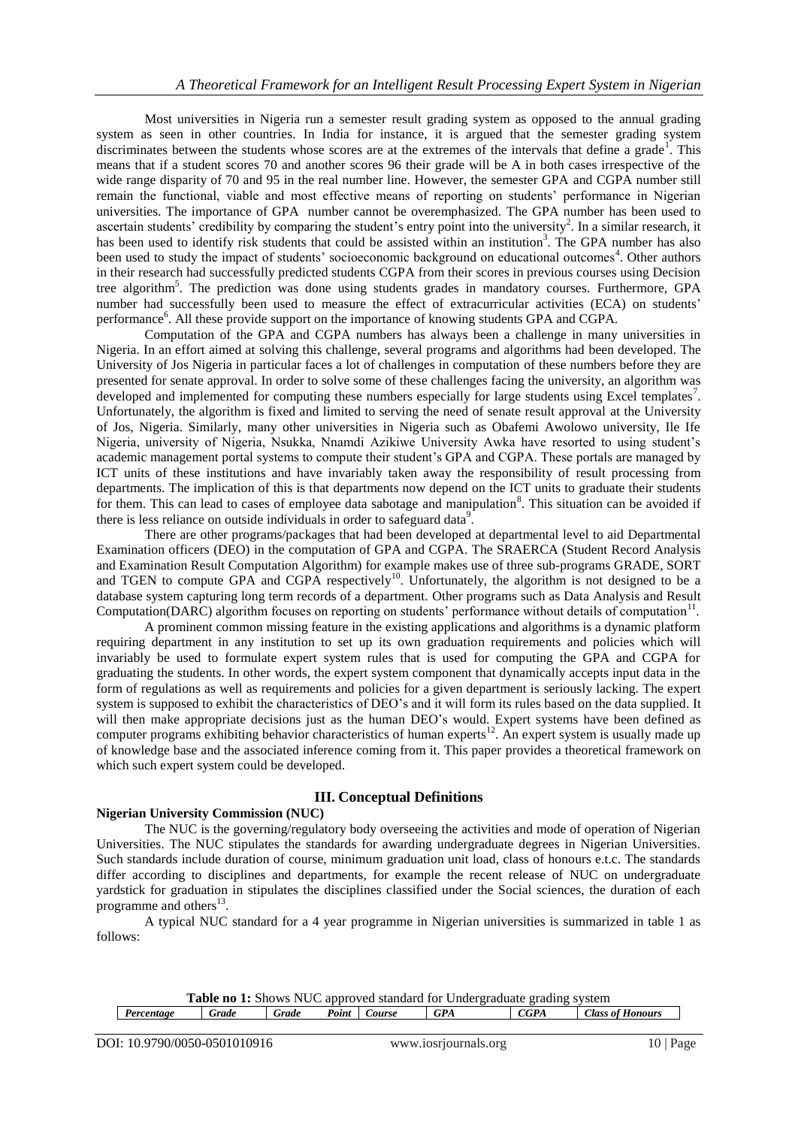Most universities in Nigeria run a semester result grading system as opposed to the annual grading system as seen in other countries. In India for instance, it is argued that the semester grading system discriminates between the students whose scores are at the extremes of the intervals that define a grade<sup>1</sup>. This means that if a student scores 70 and another scores 96 their grade will be A in both cases irrespective of the wide range disparity of 70 and 95 in the real number line. However, the semester GPA and CGPA number still remain the functional, viable and most effective means of reporting on students' performance in Nigerian universities. The importance of GPA number cannot be overemphasized. The GPA number has been used to ascertain students' credibility by comparing the student's entry point into the university<sup>2</sup>. In a similar research, it has been used to identify risk students that could be assisted within an institution<sup>3</sup>. The GPA number has also been used to study the impact of students' socioeconomic background on educational outcomes<sup>4</sup>. Other authors in their research had successfully predicted students CGPA from their scores in previous courses using Decision tree algorithm<sup>5</sup>. The prediction was done using students grades in mandatory courses. Furthermore, GPA number had successfully been used to measure the effect of extracurricular activities (ECA) on students' performance<sup>6</sup>. All these provide support on the importance of knowing students GPA and CGPA.

Computation of the GPA and CGPA numbers has always been a challenge in many universities in Nigeria. In an effort aimed at solving this challenge, several programs and algorithms had been developed. The University of Jos Nigeria in particular faces a lot of challenges in computation of these numbers before they are presented for senate approval. In order to solve some of these challenges facing the university, an algorithm was developed and implemented for computing these numbers especially for large students using Excel templates<sup>7</sup>. Unfortunately, the algorithm is fixed and limited to serving the need of senate result approval at the University of Jos, Nigeria. Similarly, many other universities in Nigeria such as Obafemi Awolowo university, Ile Ife Nigeria, university of Nigeria, Nsukka, Nnamdi Azikiwe University Awka have resorted to using student"s academic management portal systems to compute their student"s GPA and CGPA. These portals are managed by ICT units of these institutions and have invariably taken away the responsibility of result processing from departments. The implication of this is that departments now depend on the ICT units to graduate their students for them. This can lead to cases of employee data sabotage and manipulation<sup>8</sup>. This situation can be avoided if there is less reliance on outside individuals in order to safeguard data<sup>9</sup>.

There are other programs/packages that had been developed at departmental level to aid Departmental Examination officers (DEO) in the computation of GPA and CGPA. The SRAERCA (Student Record Analysis and Examination Result Computation Algorithm) for example makes use of three sub-programs GRADE, SORT and TGEN to compute GPA and CGPA respectively<sup>10</sup>. Unfortunately, the algorithm is not designed to be a database system capturing long term records of a department. Other programs such as Data Analysis and Result Computation(DARC) algorithm focuses on reporting on students' performance without details of computation<sup>11</sup>.

A prominent common missing feature in the existing applications and algorithms is a dynamic platform requiring department in any institution to set up its own graduation requirements and policies which will invariably be used to formulate expert system rules that is used for computing the GPA and CGPA for graduating the students. In other words, the expert system component that dynamically accepts input data in the form of regulations as well as requirements and policies for a given department is seriously lacking. The expert system is supposed to exhibit the characteristics of DEO"s and it will form its rules based on the data supplied. It will then make appropriate decisions just as the human DEO's would. Expert systems have been defined as computer programs exhibiting behavior characteristics of human experts<sup>12</sup>. An expert system is usually made up of knowledge base and the associated inference coming from it. This paper provides a theoretical framework on which such expert system could be developed.

# **III. Conceptual Definitions**

#### **Nigerian University Commission (NUC)**

The NUC is the governing/regulatory body overseeing the activities and mode of operation of Nigerian Universities. The NUC stipulates the standards for awarding undergraduate degrees in Nigerian Universities. Such standards include duration of course, minimum graduation unit load, class of honours e.t.c. The standards differ according to disciplines and departments, for example the recent release of NUC on undergraduate yardstick for graduation in stipulates the disciplines classified under the Social sciences, the duration of each programme and others $^{13}$ .

A typical NUC standard for a 4 year programme in Nigerian universities is summarized in table 1 as follows:

| <b>Table no 1:</b> Shows NUC approved standard for Undergraduate grading system |       |       |       |        |            |      |                  |
|---------------------------------------------------------------------------------|-------|-------|-------|--------|------------|------|------------------|
| Percentage                                                                      | Grade | Grade | Point | Course | <b>GPA</b> | CGPA | Class of Honours |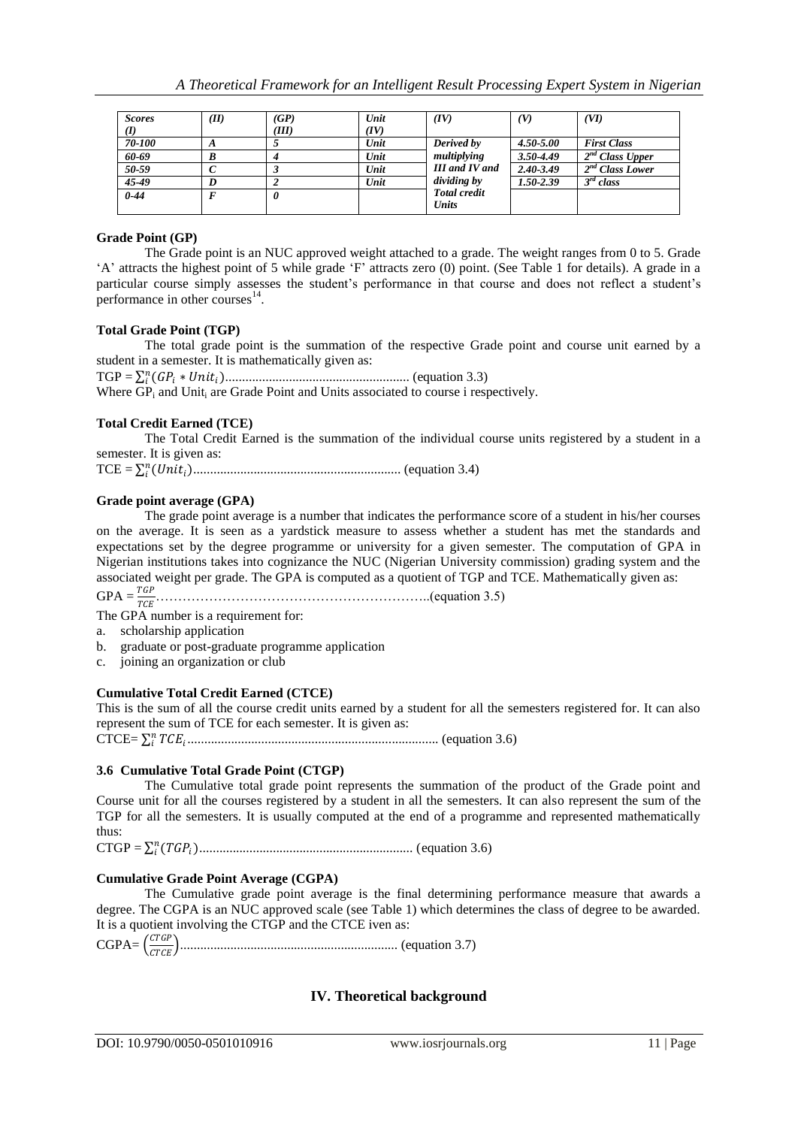| <b>Scores</b> | (II)          | (GP)  | Unit | (IV)                         | (V)           | (VI)                        |
|---------------|---------------|-------|------|------------------------------|---------------|-----------------------------|
| (I)           |               | (III) | (IV) |                              |               |                             |
| 70-100        | $\mathcal{L}$ |       | Unit | Derived by                   | $4.50 - 5.00$ | <b>First Class</b>          |
| 60-69         | В             |       | Unit | multiplying                  | $3.50 - 4.49$ | 2 <sup>nd</sup> Class Upper |
| 50-59         |               |       | Unit | <b>III</b> and <b>IV</b> and | $2.40 - 3.49$ | 2 <sup>nd</sup> Class Lower |
| 45-49         |               |       | Unit | <i>dividing by</i>           | $1.50 - 2.39$ | $3^{rd}$ class              |
| $0 - 44$      |               |       |      | <b>Total credit</b>          |               |                             |
|               |               |       |      | <b>Units</b>                 |               |                             |

#### **Grade Point (GP)**

The Grade point is an NUC approved weight attached to a grade. The weight ranges from 0 to 5. Grade "A" attracts the highest point of 5 while grade "F" attracts zero (0) point. (See Table 1 for details). A grade in a particular course simply assesses the student"s performance in that course and does not reflect a student"s performance in other courses $^{14}$ .

#### **Total Grade Point (TGP)**

The total grade point is the summation of the respective Grade point and course unit earned by a student in a semester. It is mathematically given as:

TGP = ( ∗ ) ....................................................... (equation 3.3)

Where GP<sub>i</sub> and Unit<sub>i</sub> are Grade Point and Units associated to course i respectively.

#### **Total Credit Earned (TCE)**

The Total Credit Earned is the summation of the individual course units registered by a student in a semester. It is given as:

TCE = () .............................................................. (equation 3.4)

#### **Grade point average (GPA)**

The grade point average is a number that indicates the performance score of a student in his/her courses on the average. It is seen as a yardstick measure to assess whether a student has met the standards and expectations set by the degree programme or university for a given semester. The computation of GPA in Nigerian institutions takes into cognizance the NUC (Nigerian University commission) grading system and the associated weight per grade. The GPA is computed as a quotient of TGP and TCE. Mathematically given as:

GPA = ……………………………………………………..(equation 3.5)

The GPA number is a requirement for:

- a. scholarship application
- b. graduate or post-graduate programme application
- c. joining an organization or club

#### **Cumulative Total Credit Earned (CTCE)**

This is the sum of all the course credit units earned by a student for all the semesters registered for. It can also represent the sum of TCE for each semester. It is given as:

CTCE= ........................................................................... (equation 3.6)

#### **3.6 Cumulative Total Grade Point (CTGP)**

The Cumulative total grade point represents the summation of the product of the Grade point and Course unit for all the courses registered by a student in all the semesters. It can also represent the sum of the TGP for all the semesters. It is usually computed at the end of a programme and represented mathematically thus:

CTGP = ( ) ................................................................ (equation 3.6)

#### **Cumulative Grade Point Average (CGPA)**

The Cumulative grade point average is the final determining performance measure that awards a degree. The CGPA is an NUC approved scale (see Table 1) which determines the class of degree to be awarded. It is a quotient involving the CTGP and the CTCE iven as:

 $CGPA = \frac{CTGP}{CTGPT}$ ................................................................. (equation 3.7)

# **IV. Theoretical background**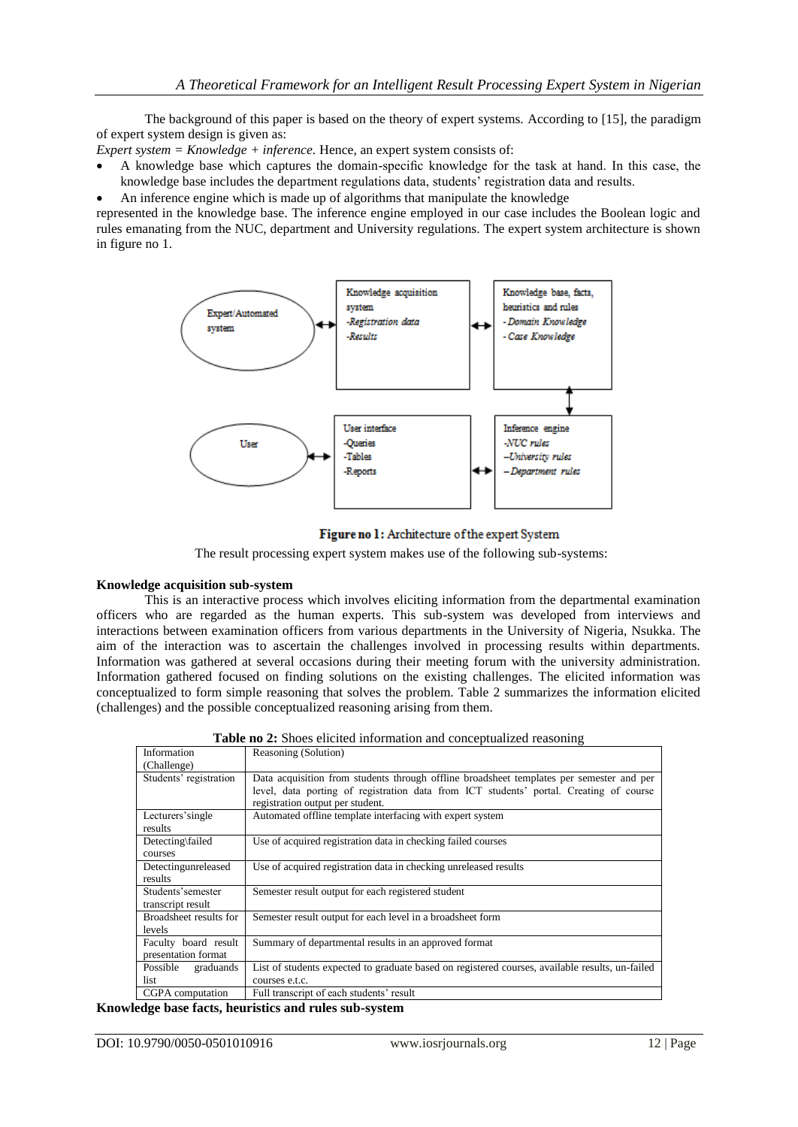The background of this paper is based on the theory of expert systems. According to [15], the paradigm of expert system design is given as:

*Expert system = Knowledge + inference.* Hence, an expert system consists of:

- A knowledge base which captures the domain-specific knowledge for the task at hand. In this case, the knowledge base includes the department regulations data, students" registration data and results.
- An inference engine which is made up of algorithms that manipulate the knowledge

represented in the knowledge base. The inference engine employed in our case includes the Boolean logic and rules emanating from the NUC, department and University regulations. The expert system architecture is shown in figure no 1.



# Figure no 1: Architecture of the expert System

The result processing expert system makes use of the following sub-systems:

# **Knowledge acquisition sub-system**

This is an interactive process which involves eliciting information from the departmental examination officers who are regarded as the human experts. This sub-system was developed from interviews and interactions between examination officers from various departments in the University of Nigeria, Nsukka. The aim of the interaction was to ascertain the challenges involved in processing results within departments. Information was gathered at several occasions during their meeting forum with the university administration. Information gathered focused on finding solutions on the existing challenges. The elicited information was conceptualized to form simple reasoning that solves the problem. Table 2 summarizes the information elicited (challenges) and the possible conceptualized reasoning arising from them.

|                                             | <b>Table no 2:</b> Shoes enclosed information and conceptualized reasoning                                                                                                                                             |
|---------------------------------------------|------------------------------------------------------------------------------------------------------------------------------------------------------------------------------------------------------------------------|
| Information                                 | Reasoning (Solution)                                                                                                                                                                                                   |
| (Challenge)                                 |                                                                                                                                                                                                                        |
| Students' registration                      | Data acquisition from students through offline broadsheet templates per semester and per<br>level, data porting of registration data from ICT students' portal. Creating of course<br>registration output per student. |
| Lecturers'single<br>results                 | Automated offline template interfacing with expert system                                                                                                                                                              |
| Detecting\failed<br>courses                 | Use of acquired registration data in checking failed courses                                                                                                                                                           |
| Detectingunreleased<br>results              | Use of acquired registration data in checking unreleased results                                                                                                                                                       |
| Students'semester<br>transcript result      | Semester result output for each registered student                                                                                                                                                                     |
| Broadsheet results for<br>levels            | Semester result output for each level in a broadsheet form                                                                                                                                                             |
| Faculty board result<br>presentation format | Summary of departmental results in an approved format                                                                                                                                                                  |
| Possible<br>graduands                       | List of students expected to graduate based on registered courses, available results, un-failed                                                                                                                        |
| list                                        | courses e.t.c.                                                                                                                                                                                                         |
| CGPA computation                            | Full transcript of each students' result                                                                                                                                                                               |

**Table no 2:** Shoes elicited information and conceptualized reasoning

**Knowledge base facts, heuristics and rules sub-system**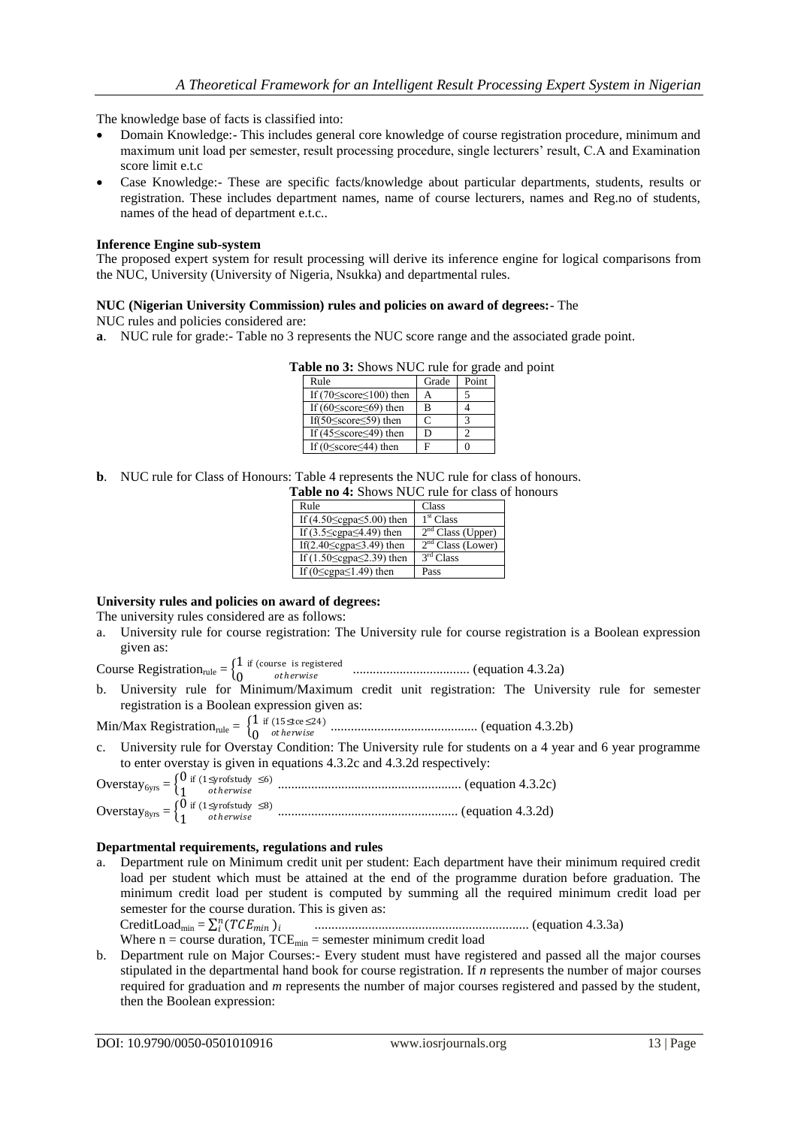The knowledge base of facts is classified into:

- Domain Knowledge:- This includes general core knowledge of course registration procedure, minimum and maximum unit load per semester, result processing procedure, single lecturers" result, C.A and Examination score limit e.t.c
- Case Knowledge:- These are specific facts/knowledge about particular departments, students, results or registration. These includes department names, name of course lecturers, names and Reg.no of students, names of the head of department e.t.c..

#### **Inference Engine sub-system**

The proposed expert system for result processing will derive its inference engine for logical comparisons from the NUC, University (University of Nigeria, Nsukka) and departmental rules.

#### **NUC (Nigerian University Commission) rules and policies on award of degrees:**- The

NUC rules and policies considered are:

**a**. NUC rule for grade:- Table no 3 represents the NUC score range and the associated grade point.

#### **Table no 3:** Shows NUC rule for grade and point

| Rule                                      | Grade | Point |
|-------------------------------------------|-------|-------|
| If $(70 \leq \text{score} \leq 100)$ then |       |       |
| If $(60 \leq \text{score} \leq 69)$ then  | в     |       |
| If $(50 \leq score \leq 59)$ then         | C     |       |
| If $(45 \leq \text{score} \leq 49)$ then  | D     |       |
| If $(0 \leq \text{score} \leq 44)$ then   | F     |       |

**b**. NUC rule for Class of Honours: Table 4 represents the NUC rule for class of honours.

**Table no 4:** Shows NUC rule for class of honours

| Rule                                      | Class                         |
|-------------------------------------------|-------------------------------|
| If $(4.50 \le$ cgpa $\le 5.00$ ) then     | 1 <sup>st</sup> Class         |
| If $(3.5 \le$ cgpa $\le$ 4.49) then       | 2 <sup>nd</sup> Class (Upper) |
| If(2.40 $\leq$ cgpa $\leq$ 3.49) then     | 2 <sup>nd</sup> Class (Lower) |
| If $(1.50 \le \text{egpa} \le 2.39)$ then | 3 <sup>rd</sup> Class         |
| If $(0 \leq cgn \leq 1.49)$ then          | Pass                          |

#### **University rules and policies on award of degrees:**

The university rules considered are as follows:

a. University rule for course registration: The University rule for course registration is a Boolean expression given as:

Course Registration<sub>rule</sub> =  $\begin{cases} 1 \\ 0 \end{cases}$  $\boldsymbol{0}$ if (course is registered ℎ ................................... (equation 4.3.2a)

b. University rule for Minimum/Maximum credit unit registration: The University rule for semester registration is a Boolean expression given as:

Min/Max Registration<sub>rule</sub> =  $\begin{cases} 1 \\ 0 \end{cases}$ if (15≤tce ≤24) ℎ ............................................ (equation 4.3.2b)

0 c. University rule for Overstay Condition: The University rule for students on a 4 year and 6 year programme to enter overstay is given in equations 4.3.2c and 4.3.2d respectively:

#### **Departmental requirements, regulations and rules**

a. Department rule on Minimum credit unit per student: Each department have their minimum required credit load per student which must be attained at the end of the programme duration before graduation. The minimum credit load per student is computed by summing all the required minimum credit load per semester for the course duration. This is given as:

 CreditLoadmin = ( ) ................................................................ (equation 4.3.3a) Where  $n =$  course duration,  $TCE_{min} =$  semester minimum credit load

b. Department rule on Major Courses:- Every student must have registered and passed all the major courses stipulated in the departmental hand book for course registration. If *n* represents the number of major courses required for graduation and *m* represents the number of major courses registered and passed by the student, then the Boolean expression: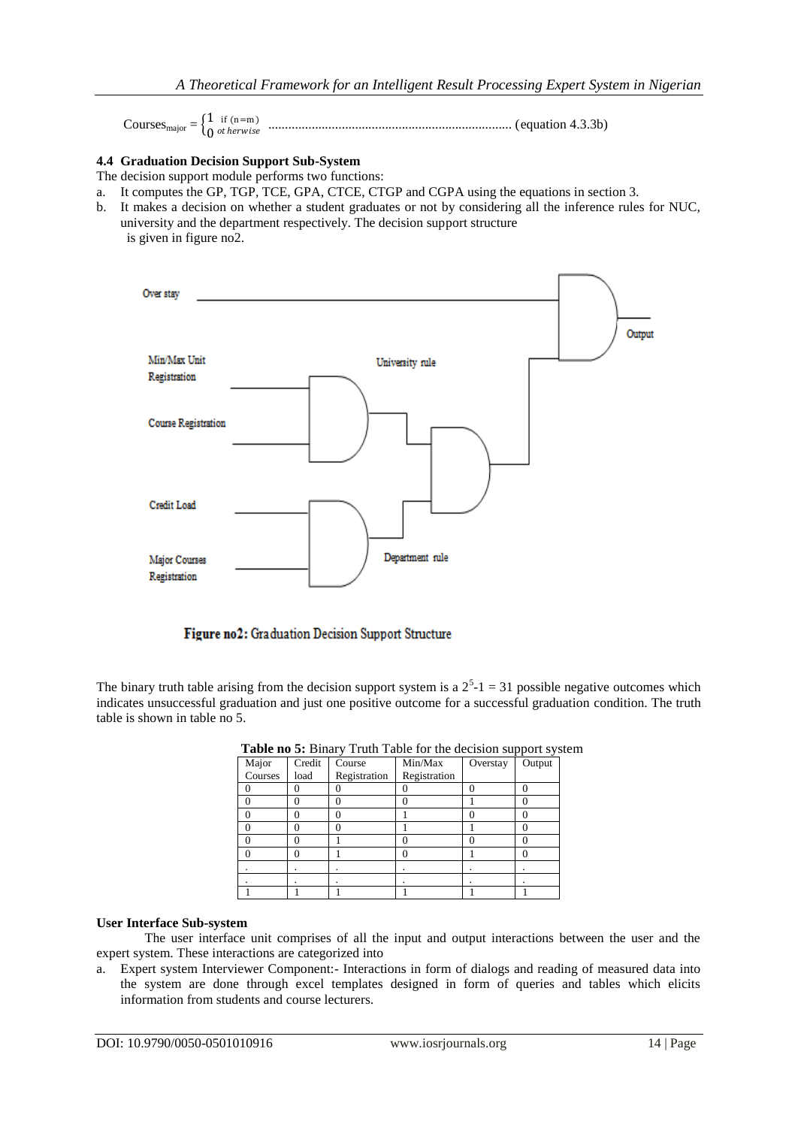|                            | if $(n=m)$<br>$\mathbf{L}$ |  |
|----------------------------|----------------------------|--|
| Courses <sub>major</sub> = | $\ln$ otherwise            |  |

# **4.4 Graduation Decision Support Sub-System**

The decision support module performs two functions:

- a. It computes the GP, TGP, TCE, GPA, CTCE, CTGP and CGPA using the equations in section 3.
- b. It makes a decision on whether a student graduates or not by considering all the inference rules for NUC, university and the department respectively. The decision support structure is given in figure no2.



Figure no2: Graduation Decision Support Structure

The binary truth table arising from the decision support system is a  $2<sup>5</sup>$ -1 = 31 possible negative outcomes which indicates unsuccessful graduation and just one positive outcome for a successful graduation condition. The truth table is shown in table no 5.

| Major   | Credit | Course       | Min/Max      | Overstay | Output |
|---------|--------|--------------|--------------|----------|--------|
| Courses | load   | Registration | Registration |          |        |
|         |        |              |              |          |        |
| O       |        |              |              |          |        |
| Ω       |        |              |              |          |        |
|         |        |              |              |          |        |
| ∩       |        |              |              | 0        |        |
| O       |        |              |              |          |        |
|         |        |              |              |          |        |
|         |        |              |              |          |        |
|         |        |              |              |          |        |

**Table no 5:** Binary Truth Table for the decision support system

#### **User Interface Sub-system**

The user interface unit comprises of all the input and output interactions between the user and the expert system. These interactions are categorized into

a. Expert system Interviewer Component:- Interactions in form of dialogs and reading of measured data into the system are done through excel templates designed in form of queries and tables which elicits information from students and course lecturers.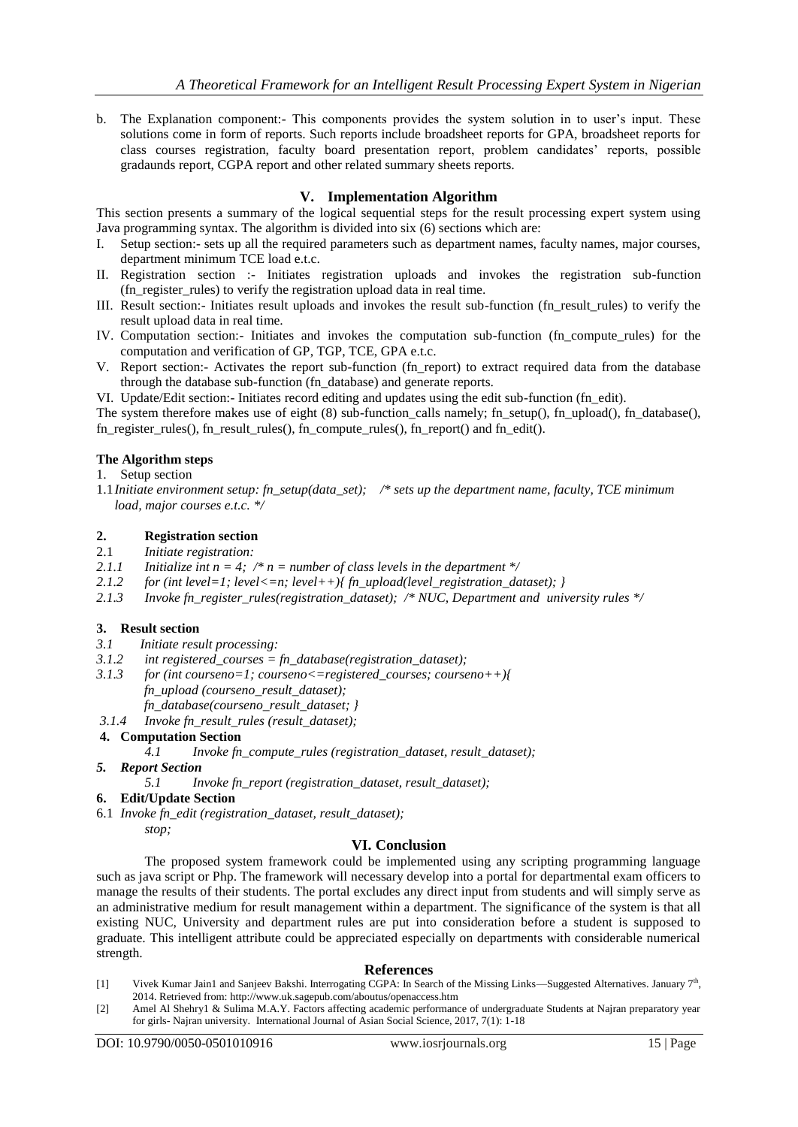b. The Explanation component:- This components provides the system solution in to user"s input. These solutions come in form of reports. Such reports include broadsheet reports for GPA, broadsheet reports for class courses registration, faculty board presentation report, problem candidates" reports, possible gradaunds report, CGPA report and other related summary sheets reports.

# **V. Implementation Algorithm**

This section presents a summary of the logical sequential steps for the result processing expert system using Java programming syntax. The algorithm is divided into six (6) sections which are:

- I. Setup section:- sets up all the required parameters such as department names, faculty names, major courses, department minimum TCE load e.t.c.
- II. Registration section :- Initiates registration uploads and invokes the registration sub-function (fn\_register\_rules) to verify the registration upload data in real time.
- III. Result section:- Initiates result uploads and invokes the result sub-function (fn\_result\_rules) to verify the result upload data in real time.
- IV. Computation section:- Initiates and invokes the computation sub-function (fn\_compute\_rules) for the computation and verification of GP, TGP, TCE, GPA e.t.c.
- V. Report section:- Activates the report sub-function (fn\_report) to extract required data from the database through the database sub-function (fn\_database) and generate reports.
- VI. Update/Edit section:- Initiates record editing and updates using the edit sub-function (fn\_edit).

The system therefore makes use of eight (8) sub-function calls namely; fn\_setup(), fn\_upload(), fn\_database(), fn\_register\_rules(), fn\_result\_rules(), fn\_compute\_rules(), fn\_report() and fn\_edit().

#### **The Algorithm steps**

- 1. Setup section
- 1.1*Initiate environment setup: fn\_setup(data\_set); /\* sets up the department name, faculty, TCE minimum load, major courses e.t.c. \*/*

# **2. Registration section**

- 2.1 *Initiate registration:*
- 2.1.1 Initialize int  $n = 4$ ;  $\pi =$  number of class levels in the department  $\pi$ /
- 2.1.2 *for (int level=1; level <=n; level ++){ fn\_upload(level\_registration\_dataset); }*
- *2.1.3 Invoke fn\_register\_rules(registration\_dataset); /\* NUC, Department and university rules \*/*

# **3. Result section**

- *3.1 Initiate result processing:*
- *3.1.2 int registered\_courses = fn\_database(registration\_dataset);*
- *3.1.3 for (int courseno=1; courseno<=registered\_courses; courseno++){ fn\_upload (courseno\_result\_dataset);*
- *fn\_database(courseno\_result\_dataset; } 3.1.4 Invoke fn\_result\_rules (result\_dataset);*
- 

# **4. Computation Section**

*4.1 Invoke fn\_compute\_rules (registration\_dataset, result\_dataset);* 

- *5. Report Section* 
	- *5.1 Invoke fn\_report (registration\_dataset, result\_dataset);*
- **6. Edit/Update Section**
- 6.1 *Invoke fn\_edit (registration\_dataset, result\_dataset); stop;*

#### **VI. Conclusion**

The proposed system framework could be implemented using any scripting programming language such as java script or Php. The framework will necessary develop into a portal for departmental exam officers to manage the results of their students. The portal excludes any direct input from students and will simply serve as an administrative medium for result management within a department. The significance of the system is that all existing NUC, University and department rules are put into consideration before a student is supposed to graduate. This intelligent attribute could be appreciated especially on departments with considerable numerical strength.

#### **References**

- [1] Vivek Kumar Jain1 and Sanjeev Bakshi. Interrogating CGPA: In Search of the Missing Links—Suggested Alternatives. January  $7<sup>th</sup>$ , 2014. Retrieved from:<http://www.uk.sagepub.com/aboutus/openaccess.htm>
- [2] Amel Al Shehry1 & Sulima M.A.Y. Factors affecting academic performance of undergraduate Students at Najran preparatory year for girls- Najran university. International Journal of Asian Social Science, 2017, 7(1): 1-18